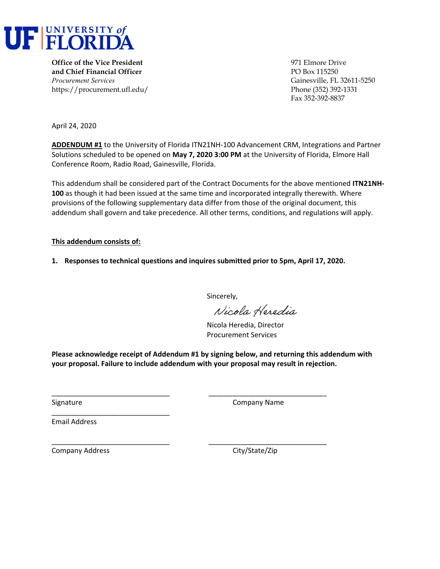

**Office of the Vice President** 971 Elmore Drive **and Chief Financial Officer PO Box 115250** *Procurement Services* Gainesville, FL 32611-5250 https://procurement.ufl.edu/ Phone (352) 392-1331

Fax 352-392-8837

April 24, 2020

**ADDENDUM #1** to the University of Florida ITN21NH‐100 Advancement CRM, Integrations and Partner Solutions scheduled to be opened on **May 7, 2020 3:00 PM** at the University of Florida, Elmore Hall Conference Room, Radio Road, Gainesville, Florida.

This addendum shall be considered part of the Contract Documents for the above mentioned **ITN21NH‐ 100** as though it had been issued at the same time and incorporated integrally therewith. Where provisions of the following supplementary data differ from those of the original document, this addendum shall govern and take precedence. All other terms, conditions, and regulations will apply.

#### **This addendum consists of:**

**1. Responses to technical questions and inquires submitted prior to 5pm, April 17, 2020.** 

Sincerely,

Nicola Heredia

Nicola Heredia, Director Procurement Services

**Please acknowledge receipt of Addendum #1 by signing below, and returning this addendum with your proposal. Failure to include addendum with your proposal may result in rejection.**

\_\_\_\_\_\_\_\_\_\_\_\_\_\_\_\_\_\_\_\_\_\_\_\_\_\_\_\_\_\_ \_\_\_\_\_\_\_\_\_\_\_\_\_\_\_\_\_\_\_\_\_\_\_\_\_\_\_\_\_\_

\_\_\_\_\_\_\_\_\_\_\_\_\_\_\_\_\_\_\_\_\_\_\_\_\_\_\_\_\_\_ \_\_\_\_\_\_\_\_\_\_\_\_\_\_\_\_\_\_\_\_\_\_\_\_\_\_\_\_\_\_

Signature **Company Name** 

Email Address

Company Address 
Company Address

Company City/State/Zip

\_\_\_\_\_\_\_\_\_\_\_\_\_\_\_\_\_\_\_\_\_\_\_\_\_\_\_\_\_\_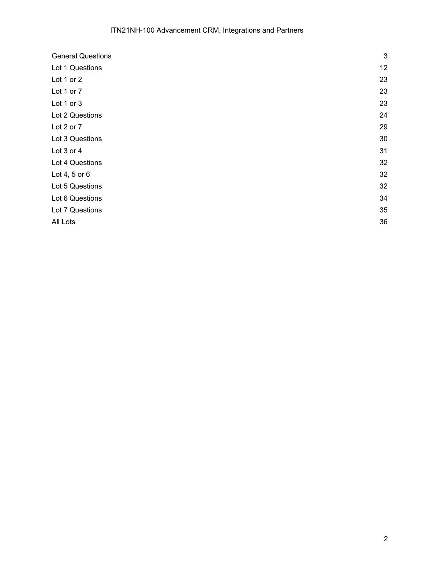| <b>General Questions</b> | 3  |
|--------------------------|----|
| Lot 1 Questions          | 12 |
| Lot 1 or 2               | 23 |
| Lot 1 or 7               | 23 |
| Lot 1 or 3               | 23 |
| Lot 2 Questions          | 24 |
| Lot 2 or 7               | 29 |
| Lot 3 Questions          | 30 |
| Lot 3 or 4               | 31 |
| Lot 4 Questions          | 32 |
| Lot 4, 5 or $6$          | 32 |
| Lot 5 Questions          | 32 |
| Lot 6 Questions          | 34 |
| Lot 7 Questions          | 35 |
| All Lots                 | 36 |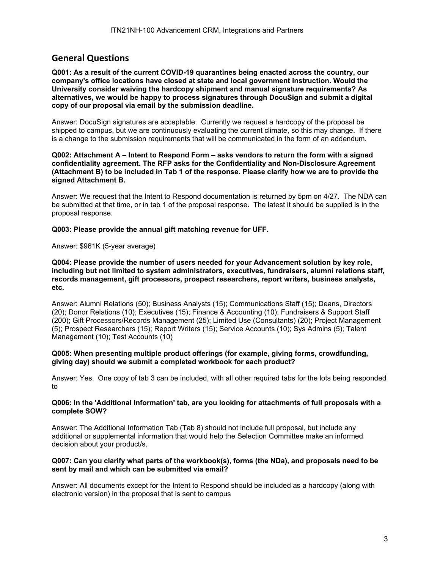# **General Questions**

**Q001: As a result of the current COVID-19 quarantines being enacted across the country, our company's office locations have closed at state and local government instruction. Would the University consider waiving the hardcopy shipment and manual signature requirements? As alternatives, we would be happy to process signatures through DocuSign and submit a digital copy of our proposal via email by the submission deadline.** 

Answer: DocuSign signatures are acceptable. Currently we request a hardcopy of the proposal be shipped to campus, but we are continuously evaluating the current climate, so this may change. If there is a change to the submission requirements that will be communicated in the form of an addendum.

#### **Q002: Attachment A – Intent to Respond Form – asks vendors to return the form with a signed confidentiality agreement. The RFP asks for the Confidentiality and Non-Disclosure Agreement (Attachment B) to be included in Tab 1 of the response. Please clarify how we are to provide the signed Attachment B.**

Answer: We request that the Intent to Respond documentation is returned by 5pm on 4/27. The NDA can be submitted at that time, or in tab 1 of the proposal response. The latest it should be supplied is in the proposal response.

#### **Q003: Please provide the annual gift matching revenue for UFF.**

Answer: \$961K (5-year average)

**Q004: Please provide the number of users needed for your Advancement solution by key role, including but not limited to system administrators, executives, fundraisers, alumni relations staff, records management, gift processors, prospect researchers, report writers, business analysts, etc.** 

Answer: Alumni Relations (50); Business Analysts (15); Communications Staff (15); Deans, Directors (20); Donor Relations (10); Executives (15); Finance & Accounting (10); Fundraisers & Support Staff (200); Gift Processors/Records Management (25); Limited Use (Consultants) (20); Project Management (5); Prospect Researchers (15); Report Writers (15); Service Accounts (10); Sys Admins (5); Talent Management (10); Test Accounts (10)

#### **Q005: When presenting multiple product offerings (for example, giving forms, crowdfunding, giving day) should we submit a completed workbook for each product?**

Answer: Yes. One copy of tab 3 can be included, with all other required tabs for the lots being responded to

### **Q006: In the 'Additional Information' tab, are you looking for attachments of full proposals with a complete SOW?**

Answer: The Additional Information Tab (Tab 8) should not include full proposal, but include any additional or supplemental information that would help the Selection Committee make an informed decision about your product/s.

#### **Q007: Can you clarify what parts of the workbook(s), forms (the NDa), and proposals need to be sent by mail and which can be submitted via email?**

Answer: All documents except for the Intent to Respond should be included as a hardcopy (along with electronic version) in the proposal that is sent to campus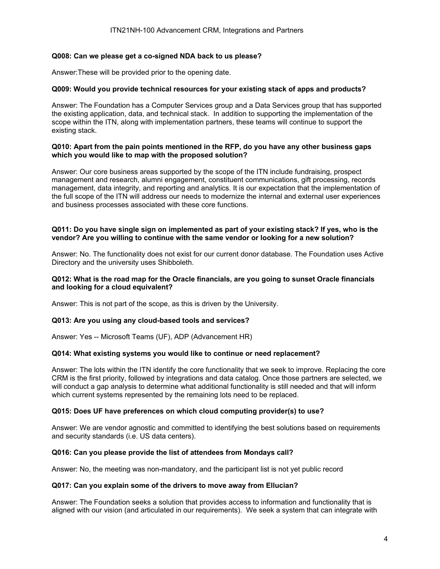### **Q008: Can we please get a co-signed NDA back to us please?**

Answer:These will be provided prior to the opening date.

## **Q009: Would you provide technical resources for your existing stack of apps and products?**

Answer: The Foundation has a Computer Services group and a Data Services group that has supported the existing application, data, and technical stack. In addition to supporting the implementation of the scope within the ITN, along with implementation partners, these teams will continue to support the existing stack.

#### **Q010: Apart from the pain points mentioned in the RFP, do you have any other business gaps which you would like to map with the proposed solution?**

Answer: Our core business areas supported by the scope of the ITN include fundraising, prospect management and research, alumni engagement, constituent communications, gift processing, records management, data integrity, and reporting and analytics. It is our expectation that the implementation of the full scope of the ITN will address our needs to modernize the internal and external user experiences and business processes associated with these core functions.

### **Q011: Do you have single sign on implemented as part of your existing stack? If yes, who is the vendor? Are you willing to continue with the same vendor or looking for a new solution?**

Answer: No. The functionality does not exist for our current donor database. The Foundation uses Active Directory and the university uses Shibboleth.

### **Q012: What is the road map for the Oracle financials, are you going to sunset Oracle financials and looking for a cloud equivalent?**

Answer: This is not part of the scope, as this is driven by the University.

#### **Q013: Are you using any cloud-based tools and services?**

Answer: Yes -- Microsoft Teams (UF), ADP (Advancement HR)

#### **Q014: What existing systems you would like to continue or need replacement?**

Answer: The lots within the ITN identify the core functionality that we seek to improve. Replacing the core CRM is the first priority, followed by integrations and data catalog. Once those partners are selected, we will conduct a gap analysis to determine what additional functionality is still needed and that will inform which current systems represented by the remaining lots need to be replaced.

#### **Q015: Does UF have preferences on which cloud computing provider(s) to use?**

Answer: We are vendor agnostic and committed to identifying the best solutions based on requirements and security standards (i.e. US data centers).

#### **Q016: Can you please provide the list of attendees from Mondays call?**

Answer: No, the meeting was non-mandatory, and the participant list is not yet public record

#### **Q017: Can you explain some of the drivers to move away from Ellucian?**

Answer: The Foundation seeks a solution that provides access to information and functionality that is aligned with our vision (and articulated in our requirements). We seek a system that can integrate with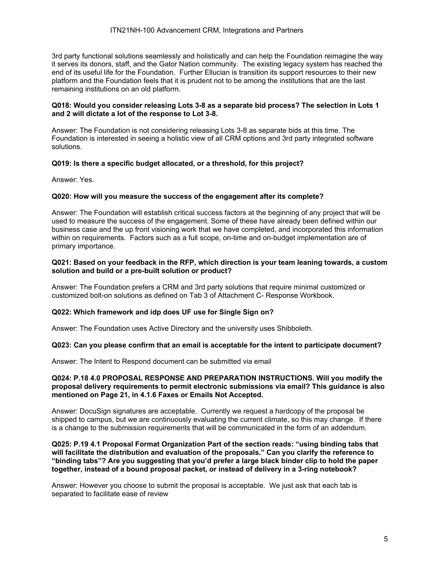3rd party functional solutions seamlessly and holistically and can help the Foundation reimagine the way it serves its donors, staff, and the Gator Nation community. The existing legacy system has reached the end of its useful life for the Foundation. Further Ellucian is transition its support resources to their new platform and the Foundation feels that it is prudent not to be among the institutions that are the last remaining institutions on an old platform.

#### **Q018: Would you consider releasing Lots 3-8 as a separate bid process? The selection in Lots 1 and 2 will dictate a lot of the response to Lot 3-8.**

Answer: The Foundation is not considering releasing Lots 3-8 as separate bids at this time. The Foundation is interested in seeing a holistic view of all CRM options and 3rd party integrated software solutions.

#### **Q019: Is there a specific budget allocated, or a threshold, for this project?**

Answer: Yes.

#### **Q020: How will you measure the success of the engagement after its complete?**

Answer: The Foundation will establish critical success factors at the beginning of any project that will be used to measure the success of the engagement. Some of these have already been defined within our business case and the up front visioning work that we have completed, and incorporated this information within on requirements. Factors such as a full scope, on-time and on-budget implementation are of primary importance.

#### **Q021: Based on your feedback in the RFP, which direction is your team leaning towards, a custom solution and build or a pre-built solution or product?**

Answer: The Foundation prefers a CRM and 3rd party solutions that require minimal customized or customized bolt-on solutions as defined on Tab 3 of Attachment C- Response Workbook.

### **Q022: Which framework and idp does UF use for Single Sign on?**

Answer: The Foundation uses Active Directory and the university uses Shibboleth.

#### **Q023: Can you please confirm that an email is acceptable for the intent to participate document?**

Answer: The Intent to Respond document can be submitted via email

#### **Q024: P.18 4.0 PROPOSAL RESPONSE AND PREPARATION INSTRUCTIONS. Will you modify the proposal delivery requirements to permit electronic submissions via email? This guidance is also mentioned on Page 21, in 4.1.6 Faxes or Emails Not Accepted.**

Answer: DocuSign signatures are acceptable. Currently we request a hardcopy of the proposal be shipped to campus, but we are continuously evaluating the current climate, so this may change. If there is a change to the submission requirements that will be communicated in the form of an addendum.

#### **Q025: P.19 4.1 Proposal Format Organization Part of the section reads: "using binding tabs that will facilitate the distribution and evaluation of the proposals." Can you clarify the reference to "binding tabs"? Are you suggesting that you'd prefer a large black binder clip to hold the paper together, instead of a bound proposal packet, or instead of delivery in a 3-ring notebook?**

Answer: However you choose to submit the proposal is acceptable. We just ask that each tab is separated to facilitate ease of review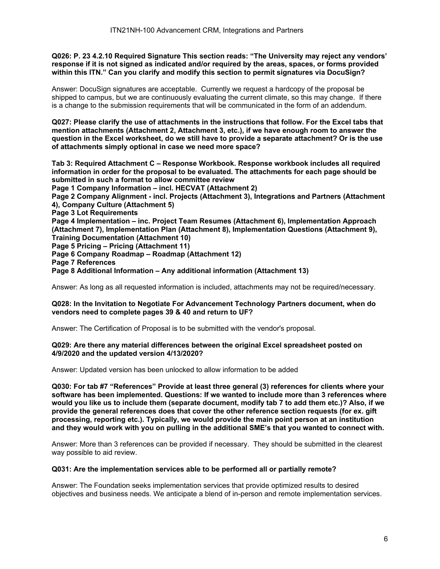**Q026: P. 23 4.2.10 Required Signature This section reads: "The University may reject any vendors' response if it is not signed as indicated and/or required by the areas, spaces, or forms provided within this ITN." Can you clarify and modify this section to permit signatures via DocuSign?** 

Answer: DocuSign signatures are acceptable. Currently we request a hardcopy of the proposal be shipped to campus, but we are continuously evaluating the current climate, so this may change. If there is a change to the submission requirements that will be communicated in the form of an addendum.

**Q027: Please clarify the use of attachments in the instructions that follow. For the Excel tabs that mention attachments (Attachment 2, Attachment 3, etc.), if we have enough room to answer the question in the Excel worksheet, do we still have to provide a separate attachment? Or is the use of attachments simply optional in case we need more space?** 

**Tab 3: Required Attachment C – Response Workbook. Response workbook includes all required information in order for the proposal to be evaluated. The attachments for each page should be submitted in such a format to allow committee review Page 1 Company Information – incl. HECVAT (Attachment 2) Page 2 Company Alignment - incl. Projects (Attachment 3), Integrations and Partners (Attachment 4), Company Culture (Attachment 5) Page 3 Lot Requirements Page 4 Implementation – inc. Project Team Resumes (Attachment 6), Implementation Approach (Attachment 7), Implementation Plan (Attachment 8), Implementation Questions (Attachment 9), Training Documentation (Attachment 10) Page 5 Pricing – Pricing (Attachment 11) Page 6 Company Roadmap – Roadmap (Attachment 12) Page 7 References** 

**Page 8 Additional Information – Any additional information (Attachment 13)** 

Answer: As long as all requested information is included, attachments may not be required/necessary.

#### **Q028: In the Invitation to Negotiate For Advancement Technology Partners document, when do vendors need to complete pages 39 & 40 and return to UF?**

Answer: The Certification of Proposal is to be submitted with the vendor's proposal.

#### **Q029: Are there any material differences between the original Excel spreadsheet posted on 4/9/2020 and the updated version 4/13/2020?**

Answer: Updated version has been unlocked to allow information to be added

**Q030: For tab #7 "References" Provide at least three general (3) references for clients where your software has been implemented. Questions: If we wanted to include more than 3 references where would you like us to include them (separate document, modify tab 7 to add them etc.)? Also, if we provide the general references does that cover the other reference section requests (for ex. gift processing, reporting etc.). Typically, we would provide the main point person at an institution and they would work with you on pulling in the additional SME's that you wanted to connect with.** 

Answer: More than 3 references can be provided if necessary. They should be submitted in the clearest way possible to aid review.

#### **Q031: Are the implementation services able to be performed all or partially remote?**

Answer: The Foundation seeks implementation services that provide optimized results to desired objectives and business needs. We anticipate a blend of in-person and remote implementation services.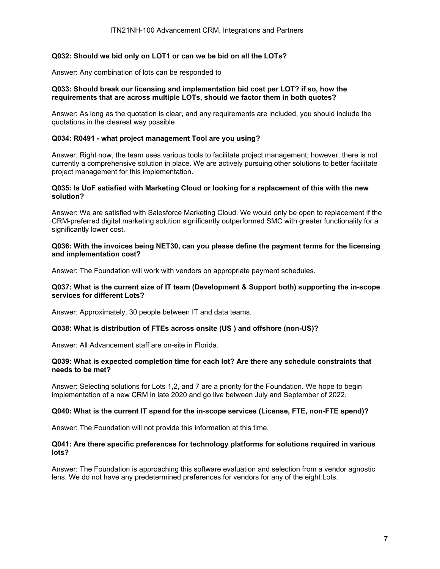## **Q032: Should we bid only on LOT1 or can we be bid on all the LOTs?**

Answer: Any combination of lots can be responded to

#### **Q033: Should break our licensing and implementation bid cost per LOT? if so, how the requirements that are across multiple LOTs, should we factor them in both quotes?**

Answer: As long as the quotation is clear, and any requirements are included, you should include the quotations in the clearest way possible

## **Q034: R0491 - what project management Tool are you using?**

Answer: Right now, the team uses various tools to facilitate project management; however, there is not currently a comprehensive solution in place. We are actively pursuing other solutions to better facilitate project management for this implementation.

### **Q035: Is UoF satisfied with Marketing Cloud or looking for a replacement of this with the new solution?**

Answer: We are satisfied with Salesforce Marketing Cloud. We would only be open to replacement if the CRM-preferred digital marketing solution significantly outperformed SMC with greater functionality for a significantly lower cost.

#### **Q036: With the invoices being NET30, can you please define the payment terms for the licensing and implementation cost?**

Answer: The Foundation will work with vendors on appropriate payment schedules.

#### **Q037: What is the current size of IT team (Development & Support both) supporting the in-scope services for different Lots?**

Answer: Approximately, 30 people between IT and data teams.

#### **Q038: What is distribution of FTEs across onsite (US ) and offshore (non-US)?**

Answer: All Advancement staff are on-site in Florida.

#### **Q039: What is expected completion time for each lot? Are there any schedule constraints that needs to be met?**

Answer: Selecting solutions for Lots 1,2, and 7 are a priority for the Foundation. We hope to begin implementation of a new CRM in late 2020 and go live between July and September of 2022.

#### **Q040: What is the current IT spend for the in-scope services (License, FTE, non-FTE spend)?**

Answer: The Foundation will not provide this information at this time.

#### **Q041: Are there specific preferences for technology platforms for solutions required in various lots?**

Answer: The Foundation is approaching this software evaluation and selection from a vendor agnostic lens. We do not have any predetermined preferences for vendors for any of the eight Lots.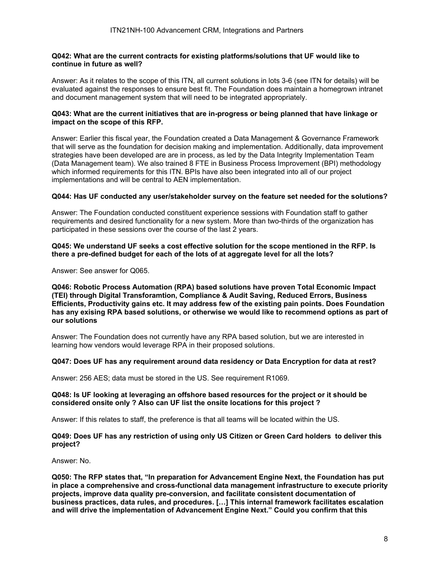#### **Q042: What are the current contracts for existing platforms/solutions that UF would like to continue in future as well?**

Answer: As it relates to the scope of this ITN, all current solutions in lots 3-6 (see ITN for details) will be evaluated against the responses to ensure best fit. The Foundation does maintain a homegrown intranet and document management system that will need to be integrated appropriately.

#### **Q043: What are the current initiatives that are in-progress or being planned that have linkage or impact on the scope of this RFP.**

Answer: Earlier this fiscal year, the Foundation created a Data Management & Governance Framework that will serve as the foundation for decision making and implementation. Additionally, data improvement strategies have been developed are are in process, as led by the Data Integrity Implementation Team (Data Management team). We also trained 8 FTE in Business Process Improvement (BPI) methodology which informed requirements for this ITN. BPIs have also been integrated into all of our project implementations and will be central to AEN implementation.

#### **Q044: Has UF conducted any user/stakeholder survey on the feature set needed for the solutions?**

Answer: The Foundation conducted constituent experience sessions with Foundation staff to gather requirements and desired functionality for a new system. More than two-thirds of the organization has participated in these sessions over the course of the last 2 years.

#### **Q045: We understand UF seeks a cost effective solution for the scope mentioned in the RFP. Is there a pre-defined budget for each of the lots of at aggregate level for all the lots?**

Answer: See answer for Q065.

**Q046: Robotic Process Automation (RPA) based solutions have proven Total Economic Impact (TEI) through Digital Transforamtion, Compliance & Audit Saving, Reduced Errors, Business Efficients, Productivity gains etc. It may address few of the existing pain points. Does Foundation has any exising RPA based solutions, or otherwise we would like to recommend options as part of our solutions** 

Answer: The Foundation does not currently have any RPA based solution, but we are interested in learning how vendors would leverage RPA in their proposed solutions.

#### **Q047: Does UF has any requirement around data residency or Data Encryption for data at rest?**

Answer: 256 AES; data must be stored in the US. See requirement R1069.

#### **Q048: Is UF looking at leveraging an offshore based resources for the project or it should be considered onsite only ? Also can UF list the onsite locations for this project ?**

Answer: If this relates to staff, the preference is that all teams will be located within the US.

#### **Q049: Does UF has any restriction of using only US Citizen or Green Card holders to deliver this project?**

Answer: No.

**Q050: The RFP states that, "In preparation for Advancement Engine Next, the Foundation has put in place a comprehensive and cross-functional data management infrastructure to execute priority projects, improve data quality pre-conversion, and facilitate consistent documentation of business practices, data rules, and procedures. […] This internal framework facilitates escalation and will drive the implementation of Advancement Engine Next." Could you confirm that this**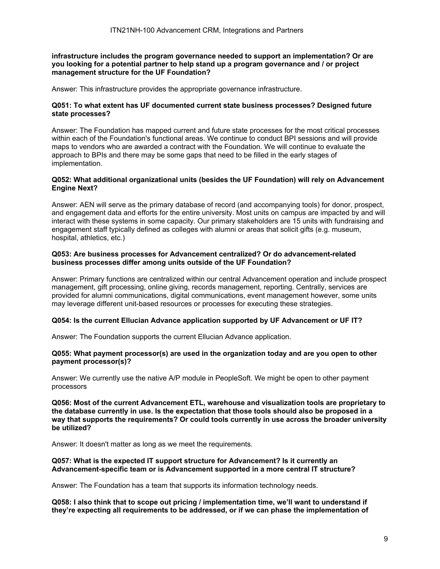**infrastructure includes the program governance needed to support an implementation? Or are you looking for a potential partner to help stand up a program governance and / or project management structure for the UF Foundation?** 

Answer: This infrastructure provides the appropriate governance infrastructure.

#### **Q051: To what extent has UF documented current state business processes? Designed future state processes?**

Answer: The Foundation has mapped current and future state processes for the most critical processes within each of the Foundation's functional areas. We continue to conduct BPI sessions and will provide maps to vendors who are awarded a contract with the Foundation. We will continue to evaluate the approach to BPIs and there may be some gaps that need to be filled in the early stages of implementation.

### **Q052: What additional organizational units (besides the UF Foundation) will rely on Advancement Engine Next?**

Answer: AEN will serve as the primary database of record (and accompanying tools) for donor, prospect, and engagement data and efforts for the entire university. Most units on campus are impacted by and will interact with these systems in some capacity. Our primary stakeholders are 15 units with fundraising and engagement staff typically defined as colleges with alumni or areas that solicit gifts (e.g. museum, hospital, athletics, etc.)

### **Q053: Are business processes for Advancement centralized? Or do advancement-related business processes differ among units outside of the UF Foundation?**

Answer: Primary functions are centralized within our central Advancement operation and include prospect management, gift processing, online giving, records management, reporting. Centrally, services are provided for alumni communications, digital communications, event management however, some units may leverage different unit-based resources or processes for executing these strategies.

#### **Q054: Is the current Ellucian Advance application supported by UF Advancement or UF IT?**

Answer: The Foundation supports the current Ellucian Advance application.

#### **Q055: What payment processor(s) are used in the organization today and are you open to other payment processor(s)?**

Answer: We currently use the native A/P module in PeopleSoft. We might be open to other payment processors

**Q056: Most of the current Advancement ETL, warehouse and visualization tools are proprietary to the database currently in use. Is the expectation that those tools should also be proposed in a way that supports the requirements? Or could tools currently in use across the broader university be utilized?** 

Answer: It doesn't matter as long as we meet the requirements.

#### **Q057: What is the expected IT support structure for Advancement? Is it currently an Advancement-specific team or is Advancement supported in a more central IT structure?**

Answer: The Foundation has a team that supports its information technology needs.

**Q058: I also think that to scope out pricing / implementation time, we'll want to understand if they're expecting all requirements to be addressed, or if we can phase the implementation of**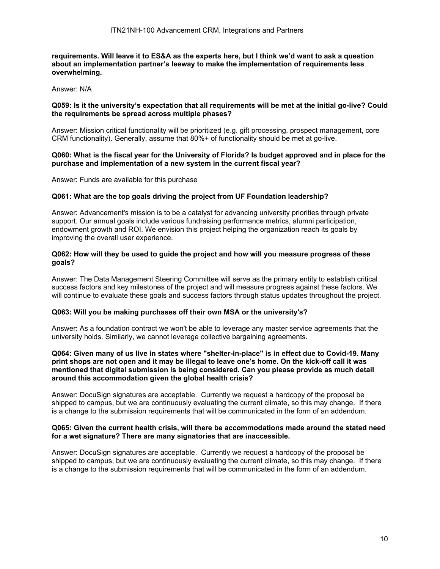#### **requirements. Will leave it to ES&A as the experts here, but I think we'd want to ask a question about an implementation partner's leeway to make the implementation of requirements less overwhelming.**

Answer: N/A

#### **Q059: Is it the university's expectation that all requirements will be met at the initial go-live? Could the requirements be spread across multiple phases?**

Answer: Mission critical functionality will be prioritized (e.g. gift processing, prospect management, core CRM functionality). Generally, assume that 80%+ of functionality should be met at go-live.

## **Q060: What is the fiscal year for the University of Florida? Is budget approved and in place for the purchase and implementation of a new system in the current fiscal year?**

Answer: Funds are available for this purchase

#### **Q061: What are the top goals driving the project from UF Foundation leadership?**

Answer: Advancement's mission is to be a catalyst for advancing university priorities through private support. Our annual goals include various fundraising performance metrics, alumni participation, endowment growth and ROI. We envision this project helping the organization reach its goals by improving the overall user experience.

#### **Q062: How will they be used to guide the project and how will you measure progress of these goals?**

Answer: The Data Management Steering Committee will serve as the primary entity to establish critical success factors and key milestones of the project and will measure progress against these factors. We will continue to evaluate these goals and success factors through status updates throughout the project.

### **Q063: Will you be making purchases off their own MSA or the university's?**

Answer: As a foundation contract we won't be able to leverage any master service agreements that the university holds. Similarly, we cannot leverage collective bargaining agreements.

#### **Q064: Given many of us live in states where "shelter-in-place" is in effect due to Covid-19. Many print shops are not open and it may be illegal to leave one's home. On the kick-off call it was mentioned that digital submission is being considered. Can you please provide as much detail around this accommodation given the global health crisis?**

Answer: DocuSign signatures are acceptable. Currently we request a hardcopy of the proposal be shipped to campus, but we are continuously evaluating the current climate, so this may change. If there is a change to the submission requirements that will be communicated in the form of an addendum.

#### **Q065: Given the current health crisis, will there be accommodations made around the stated need for a wet signature? There are many signatories that are inaccessible.**

Answer: DocuSign signatures are acceptable. Currently we request a hardcopy of the proposal be shipped to campus, but we are continuously evaluating the current climate, so this may change. If there is a change to the submission requirements that will be communicated in the form of an addendum.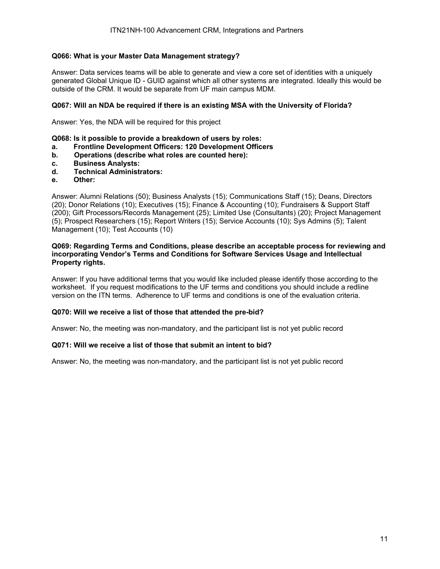## **Q066: What is your Master Data Management strategy?**

Answer: Data services teams will be able to generate and view a core set of identities with a uniquely generated Global Unique ID - GUID against which all other systems are integrated. Ideally this would be outside of the CRM. It would be separate from UF main campus MDM.

### **Q067: Will an NDA be required if there is an existing MSA with the University of Florida?**

Answer: Yes, the NDA will be required for this project

- **Q068: Is it possible to provide a breakdown of users by roles:**
- **a. Frontline Development Officers: 120 Development Officers**
- **b. Operations (describe what roles are counted here):**
- **c. Business Analysts:**
- **d. Technical Administrators:**
- **e. Other:**

Answer: Alumni Relations (50); Business Analysts (15); Communications Staff (15); Deans, Directors (20); Donor Relations (10); Executives (15); Finance & Accounting (10); Fundraisers & Support Staff (200); Gift Processors/Records Management (25); Limited Use (Consultants) (20); Project Management (5); Prospect Researchers (15); Report Writers (15); Service Accounts (10); Sys Admins (5); Talent Management (10); Test Accounts (10)

#### **Q069: Regarding Terms and Conditions, please describe an acceptable process for reviewing and incorporating Vendor's Terms and Conditions for Software Services Usage and Intellectual Property rights.**

Answer: If you have additional terms that you would like included please identify those according to the worksheet. If you request modifications to the UF terms and conditions you should include a redline version on the ITN terms. Adherence to UF terms and conditions is one of the evaluation criteria.

### **Q070: Will we receive a list of those that attended the pre-bid?**

Answer: No, the meeting was non-mandatory, and the participant list is not yet public record

#### **Q071: Will we receive a list of those that submit an intent to bid?**

Answer: No, the meeting was non-mandatory, and the participant list is not yet public record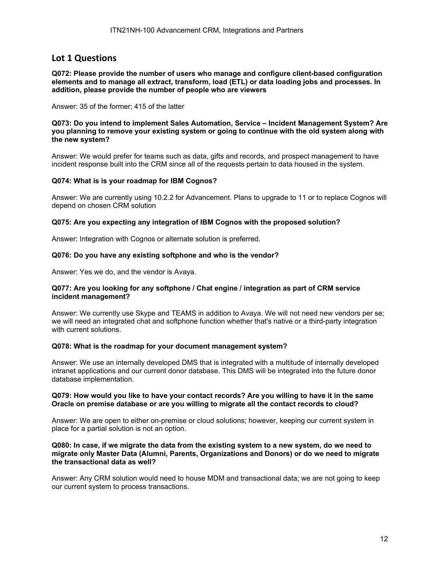## **Lot 1 Questions**

**Q072: Please provide the number of users who manage and configure client-based configuration elements and to manage all extract, transform, load (ETL) or data loading jobs and processes. In addition, please provide the number of people who are viewers** 

Answer: 35 of the former; 415 of the latter

**Q073: Do you intend to implement Sales Automation, Service – Incident Management System? Are you planning to remove your existing system or going to continue with the old system along with the new system?** 

Answer: We would prefer for teams such as data, gifts and records, and prospect management to have incident response built into the CRM since all of the requests pertain to data housed in the system.

#### **Q074: What is is your roadmap for IBM Cognos?**

Answer: We are currently using 10.2.2 for Advancement. Plans to upgrade to 11 or to replace Cognos will depend on chosen CRM solution

#### **Q075: Are you expecting any integration of IBM Cognos with the proposed solution?**

Answer: Integration with Cognos or alternate solution is preferred.

#### **Q076: Do you have any existing softphone and who is the vendor?**

Answer: Yes we do, and the vendor is Avaya.

#### **Q077: Are you looking for any softphone / Chat engine / integration as part of CRM service incident management?**

Answer: We currently use Skype and TEAMS in addition to Avaya. We will not need new vendors per se; we will need an integrated chat and softphone function whether that's native or a third-party integration with current solutions.

#### **Q078: What is the roadmap for your document management system?**

Answer: We use an internally developed DMS that is integrated with a multitude of internally developed intranet applications and our current donor database. This DMS will be integrated into the future donor database implementation.

#### **Q079: How would you like to have your contact records? Are you willing to have it in the same Oracle on premise database or are you willing to migrate all the contact records to cloud?**

Answer: We are open to either on-premise or cloud solutions; however, keeping our current system in place for a partial solution is not an option.

#### **Q080: In case, if we migrate the data from the existing system to a new system, do we need to migrate only Master Data (Alumni, Parents, Organizations and Donors) or do we need to migrate the transactional data as well?**

Answer: Any CRM solution would need to house MDM and transactional data; we are not going to keep our current system to process transactions.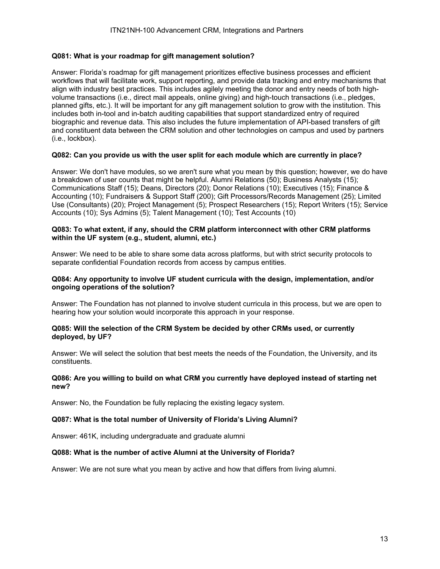## **Q081: What is your roadmap for gift management solution?**

Answer: Florida's roadmap for gift management prioritizes effective business processes and efficient workflows that will facilitate work, support reporting, and provide data tracking and entry mechanisms that align with industry best practices. This includes agilely meeting the donor and entry needs of both highvolume transactions (i.e., direct mail appeals, online giving) and high-touch transactions (i.e., pledges, planned gifts, etc.). It will be important for any gift management solution to grow with the institution. This includes both in-tool and in-batch auditing capabilities that support standardized entry of required biographic and revenue data. This also includes the future implementation of API-based transfers of gift and constituent data between the CRM solution and other technologies on campus and used by partners (i.e., lockbox).

## **Q082: Can you provide us with the user split for each module which are currently in place?**

Answer: We don't have modules, so we aren't sure what you mean by this question; however, we do have a breakdown of user counts that might be helpful. Alumni Relations (50); Business Analysts (15); Communications Staff (15); Deans, Directors (20); Donor Relations (10); Executives (15); Finance & Accounting (10); Fundraisers & Support Staff (200); Gift Processors/Records Management (25); Limited Use (Consultants) (20); Project Management (5); Prospect Researchers (15); Report Writers (15); Service Accounts (10); Sys Admins (5); Talent Management (10); Test Accounts (10)

### **Q083: To what extent, if any, should the CRM platform interconnect with other CRM platforms within the UF system (e.g., student, alumni, etc.)**

Answer: We need to be able to share some data across platforms, but with strict security protocols to separate confidential Foundation records from access by campus entities.

### **Q084: Any opportunity to involve UF student curricula with the design, implementation, and/or ongoing operations of the solution?**

Answer: The Foundation has not planned to involve student curricula in this process, but we are open to hearing how your solution would incorporate this approach in your response.

#### **Q085: Will the selection of the CRM System be decided by other CRMs used, or currently deployed, by UF?**

Answer: We will select the solution that best meets the needs of the Foundation, the University, and its constituents.

## **Q086: Are you willing to build on what CRM you currently have deployed instead of starting net new?**

Answer: No, the Foundation be fully replacing the existing legacy system.

#### **Q087: What is the total number of University of Florida's Living Alumni?**

Answer: 461K, including undergraduate and graduate alumni

#### **Q088: What is the number of active Alumni at the University of Florida?**

Answer: We are not sure what you mean by active and how that differs from living alumni.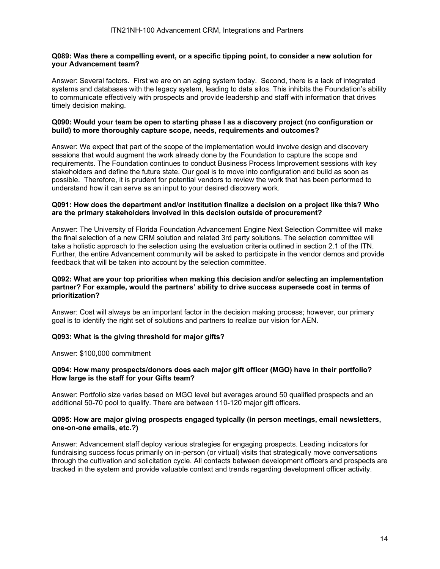#### **Q089: Was there a compelling event, or a specific tipping point, to consider a new solution for your Advancement team?**

Answer: Several factors. First we are on an aging system today. Second, there is a lack of integrated systems and databases with the legacy system, leading to data silos. This inhibits the Foundation's ability to communicate effectively with prospects and provide leadership and staff with information that drives timely decision making.

#### **Q090: Would your team be open to starting phase I as a discovery project (no configuration or build) to more thoroughly capture scope, needs, requirements and outcomes?**

Answer: We expect that part of the scope of the implementation would involve design and discovery sessions that would augment the work already done by the Foundation to capture the scope and requirements. The Foundation continues to conduct Business Process Improvement sessions with key stakeholders and define the future state. Our goal is to move into configuration and build as soon as possible. Therefore, it is prudent for potential vendors to review the work that has been performed to understand how it can serve as an input to your desired discovery work.

#### **Q091: How does the department and/or institution finalize a decision on a project like this? Who are the primary stakeholders involved in this decision outside of procurement?**

Answer: The University of Florida Foundation Advancement Engine Next Selection Committee will make the final selection of a new CRM solution and related 3rd party solutions. The selection committee will take a holistic approach to the selection using the evaluation criteria outlined in section 2.1 of the ITN. Further, the entire Advancement community will be asked to participate in the vendor demos and provide feedback that will be taken into account by the selection committee.

#### **Q092: What are your top priorities when making this decision and/or selecting an implementation partner? For example, would the partners' ability to drive success supersede cost in terms of prioritization?**

Answer: Cost will always be an important factor in the decision making process; however, our primary goal is to identify the right set of solutions and partners to realize our vision for AEN.

#### **Q093: What is the giving threshold for major gifts?**

Answer: \$100,000 commitment

#### **Q094: How many prospects/donors does each major gift officer (MGO) have in their portfolio? How large is the staff for your Gifts team?**

Answer: Portfolio size varies based on MGO level but averages around 50 qualified prospects and an additional 50-70 pool to qualify. There are between 110-120 major gift officers.

#### **Q095: How are major giving prospects engaged typically (in person meetings, email newsletters, one-on-one emails, etc.?)**

Answer: Advancement staff deploy various strategies for engaging prospects. Leading indicators for fundraising success focus primarily on in-person (or virtual) visits that strategically move conversations through the cultivation and solicitation cycle. All contacts between development officers and prospects are tracked in the system and provide valuable context and trends regarding development officer activity.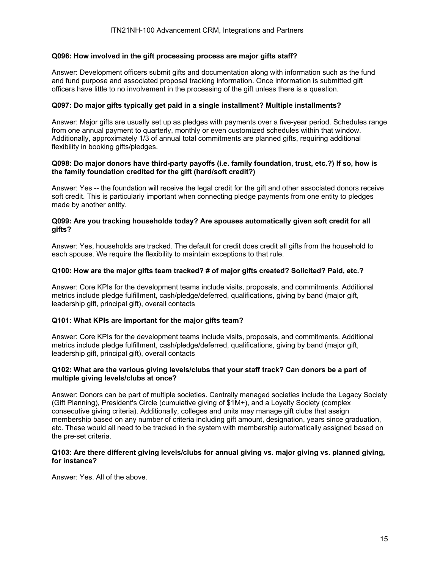#### **Q096: How involved in the gift processing process are major gifts staff?**

Answer: Development officers submit gifts and documentation along with information such as the fund and fund purpose and associated proposal tracking information. Once information is submitted gift officers have little to no involvement in the processing of the gift unless there is a question.

### **Q097: Do major gifts typically get paid in a single installment? Multiple installments?**

Answer: Major gifts are usually set up as pledges with payments over a five-year period. Schedules range from one annual payment to quarterly, monthly or even customized schedules within that window. Additionally, approximately 1/3 of annual total commitments are planned gifts, requiring additional flexibility in booking gifts/pledges.

#### **Q098: Do major donors have third-party payoffs (i.e. family foundation, trust, etc.?) If so, how is the family foundation credited for the gift (hard/soft credit?)**

Answer: Yes -- the foundation will receive the legal credit for the gift and other associated donors receive soft credit. This is particularly important when connecting pledge payments from one entity to pledges made by another entity.

### **Q099: Are you tracking households today? Are spouses automatically given soft credit for all gifts?**

Answer: Yes, households are tracked. The default for credit does credit all gifts from the household to each spouse. We require the flexibility to maintain exceptions to that rule.

#### **Q100: How are the major gifts team tracked? # of major gifts created? Solicited? Paid, etc.?**

Answer: Core KPIs for the development teams include visits, proposals, and commitments. Additional metrics include pledge fulfillment, cash/pledge/deferred, qualifications, giving by band (major gift, leadership gift, principal gift), overall contacts

#### **Q101: What KPIs are important for the major gifts team?**

Answer: Core KPIs for the development teams include visits, proposals, and commitments. Additional metrics include pledge fulfillment, cash/pledge/deferred, qualifications, giving by band (major gift, leadership gift, principal gift), overall contacts

#### **Q102: What are the various giving levels/clubs that your staff track? Can donors be a part of multiple giving levels/clubs at once?**

Answer: Donors can be part of multiple societies. Centrally managed societies include the Legacy Society (Gift Planning), President's Circle (cumulative giving of \$1M+), and a Loyalty Society (complex consecutive giving criteria). Additionally, colleges and units may manage gift clubs that assign membership based on any number of criteria including gift amount, designation, years since graduation, etc. These would all need to be tracked in the system with membership automatically assigned based on the pre-set criteria.

#### **Q103: Are there different giving levels/clubs for annual giving vs. major giving vs. planned giving, for instance?**

Answer: Yes. All of the above.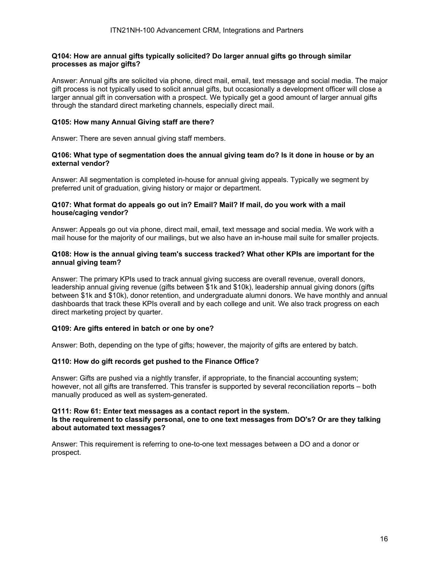#### **Q104: How are annual gifts typically solicited? Do larger annual gifts go through similar processes as major gifts?**

Answer: Annual gifts are solicited via phone, direct mail, email, text message and social media. The major gift process is not typically used to solicit annual gifts, but occasionally a development officer will close a larger annual gift in conversation with a prospect. We typically get a good amount of larger annual gifts through the standard direct marketing channels, especially direct mail.

#### **Q105: How many Annual Giving staff are there?**

Answer: There are seven annual giving staff members.

#### **Q106: What type of segmentation does the annual giving team do? Is it done in house or by an external vendor?**

Answer: All segmentation is completed in-house for annual giving appeals. Typically we segment by preferred unit of graduation, giving history or major or department.

#### **Q107: What format do appeals go out in? Email? Mail? If mail, do you work with a mail house/caging vendor?**

Answer: Appeals go out via phone, direct mail, email, text message and social media. We work with a mail house for the majority of our mailings, but we also have an in-house mail suite for smaller projects.

#### **Q108: How is the annual giving team's success tracked? What other KPIs are important for the annual giving team?**

Answer: The primary KPIs used to track annual giving success are overall revenue, overall donors, leadership annual giving revenue (gifts between \$1k and \$10k), leadership annual giving donors (gifts between \$1k and \$10k), donor retention, and undergraduate alumni donors. We have monthly and annual dashboards that track these KPIs overall and by each college and unit. We also track progress on each direct marketing project by quarter.

#### **Q109: Are gifts entered in batch or one by one?**

Answer: Both, depending on the type of gifts; however, the majority of gifts are entered by batch.

#### **Q110: How do gift records get pushed to the Finance Office?**

Answer: Gifts are pushed via a nightly transfer, if appropriate, to the financial accounting system; however, not all gifts are transferred. This transfer is supported by several reconciliation reports – both manually produced as well as system-generated.

#### **Q111: Row 61: Enter text messages as a contact report in the system. Is the requirement to classify personal, one to one text messages from DO's? Or are they talking about automated text messages?**

Answer: This requirement is referring to one-to-one text messages between a DO and a donor or prospect.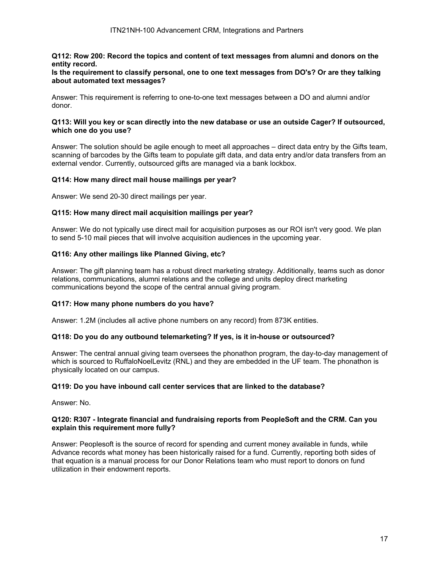## **Q112: Row 200: Record the topics and content of text messages from alumni and donors on the entity record.**

#### **Is the requirement to classify personal, one to one text messages from DO's? Or are they talking about automated text messages?**

Answer: This requirement is referring to one-to-one text messages between a DO and alumni and/or donor.

#### **Q113: Will you key or scan directly into the new database or use an outside Cager? If outsourced, which one do you use?**

Answer: The solution should be agile enough to meet all approaches – direct data entry by the Gifts team, scanning of barcodes by the Gifts team to populate gift data, and data entry and/or data transfers from an external vendor. Currently, outsourced gifts are managed via a bank lockbox.

## **Q114: How many direct mail house mailings per year?**

Answer: We send 20-30 direct mailings per year.

## **Q115: How many direct mail acquisition mailings per year?**

Answer: We do not typically use direct mail for acquisition purposes as our ROI isn't very good. We plan to send 5-10 mail pieces that will involve acquisition audiences in the upcoming year.

## **Q116: Any other mailings like Planned Giving, etc?**

Answer: The gift planning team has a robust direct marketing strategy. Additionally, teams such as donor relations, communications, alumni relations and the college and units deploy direct marketing communications beyond the scope of the central annual giving program.

#### **Q117: How many phone numbers do you have?**

Answer: 1.2M (includes all active phone numbers on any record) from 873K entities.

#### **Q118: Do you do any outbound telemarketing? If yes, is it in-house or outsourced?**

Answer: The central annual giving team oversees the phonathon program, the day-to-day management of which is sourced to RuffaloNoelLevitz (RNL) and they are embedded in the UF team. The phonathon is physically located on our campus.

#### **Q119: Do you have inbound call center services that are linked to the database?**

Answer: No.

#### **Q120: R307 - Integrate financial and fundraising reports from PeopleSoft and the CRM. Can you explain this requirement more fully?**

Answer: Peoplesoft is the source of record for spending and current money available in funds, while Advance records what money has been historically raised for a fund. Currently, reporting both sides of that equation is a manual process for our Donor Relations team who must report to donors on fund utilization in their endowment reports.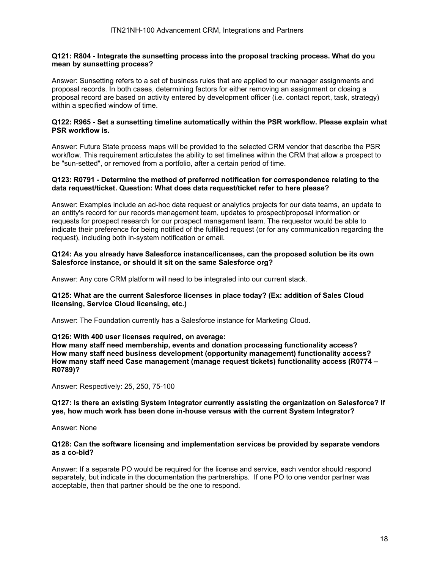#### **Q121: R804 - Integrate the sunsetting process into the proposal tracking process. What do you mean by sunsetting process?**

Answer: Sunsetting refers to a set of business rules that are applied to our manager assignments and proposal records. In both cases, determining factors for either removing an assignment or closing a proposal record are based on activity entered by development officer (i.e. contact report, task, strategy) within a specified window of time.

#### **Q122: R965 - Set a sunsetting timeline automatically within the PSR workflow. Please explain what PSR workflow is.**

Answer: Future State process maps will be provided to the selected CRM vendor that describe the PSR workflow. This requirement articulates the ability to set timelines within the CRM that allow a prospect to be "sun-setted", or removed from a portfolio, after a certain period of time.

#### **Q123: R0791 - Determine the method of preferred notification for correspondence relating to the data request/ticket. Question: What does data request/ticket refer to here please?**

Answer: Examples include an ad-hoc data request or analytics projects for our data teams, an update to an entity's record for our records management team, updates to prospect/proposal information or requests for prospect research for our prospect management team. The requestor would be able to indicate their preference for being notified of the fulfilled request (or for any communication regarding the request), including both in-system notification or email.

#### **Q124: As you already have Salesforce instance/licenses, can the proposed solution be its own Salesforce instance, or should it sit on the same Salesforce org?**

Answer: Any core CRM platform will need to be integrated into our current stack.

#### **Q125: What are the current Salesforce licenses in place today? (Ex: addition of Sales Cloud licensing, Service Cloud licensing, etc.)**

Answer: The Foundation currently has a Salesforce instance for Marketing Cloud.

### **Q126: With 400 user licenses required, on average:**

**How many staff need membership, events and donation processing functionality access? How many staff need business development (opportunity management) functionality access? How many staff need Case management (manage request tickets) functionality access (R0774 – R0789)?** 

Answer: Respectively: 25, 250, 75-100

#### **Q127: Is there an existing System Integrator currently assisting the organization on Salesforce? If yes, how much work has been done in-house versus with the current System Integrator?**

Answer: None

#### **Q128: Can the software licensing and implementation services be provided by separate vendors as a co-bid?**

Answer: If a separate PO would be required for the license and service, each vendor should respond separately, but indicate in the documentation the partnerships. If one PO to one vendor partner was acceptable, then that partner should be the one to respond.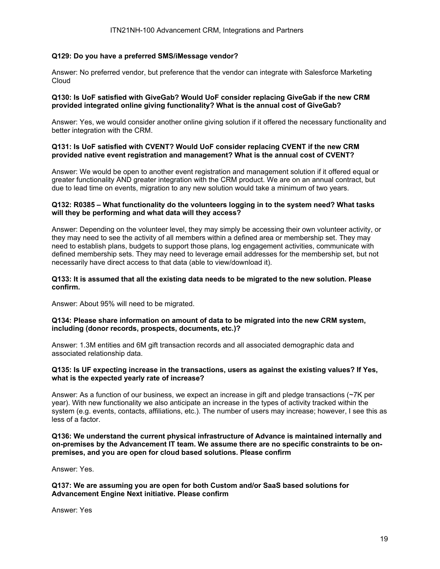## **Q129: Do you have a preferred SMS/iMessage vendor?**

Answer: No preferred vendor, but preference that the vendor can integrate with Salesforce Marketing Cloud

## **Q130: Is UoF satisfied with GiveGab? Would UoF consider replacing GiveGab if the new CRM provided integrated online giving functionality? What is the annual cost of GiveGab?**

Answer: Yes, we would consider another online giving solution if it offered the necessary functionality and better integration with the CRM.

#### **Q131: Is UoF satisfied with CVENT? Would UoF consider replacing CVENT if the new CRM provided native event registration and management? What is the annual cost of CVENT?**

Answer: We would be open to another event registration and management solution if it offered equal or greater functionality AND greater integration with the CRM product. We are on an annual contract, but due to lead time on events, migration to any new solution would take a minimum of two years.

#### **Q132: R0385 – What functionality do the volunteers logging in to the system need? What tasks will they be performing and what data will they access?**

Answer: Depending on the volunteer level, they may simply be accessing their own volunteer activity, or they may need to see the activity of all members within a defined area or membership set. They may need to establish plans, budgets to support those plans, log engagement activities, communicate with defined membership sets. They may need to leverage email addresses for the membership set, but not necessarily have direct access to that data (able to view/download it).

#### **Q133: It is assumed that all the existing data needs to be migrated to the new solution. Please confirm.**

Answer: About 95% will need to be migrated.

#### **Q134: Please share information on amount of data to be migrated into the new CRM system, including (donor records, prospects, documents, etc.)?**

Answer: 1.3M entities and 6M gift transaction records and all associated demographic data and associated relationship data.

#### **Q135: Is UF expecting increase in the transactions, users as against the existing values? If Yes, what is the expected yearly rate of increase?**

Answer: As a function of our business, we expect an increase in gift and pledge transactions (~7K per year). With new functionality we also anticipate an increase in the types of activity tracked within the system (e.g. events, contacts, affiliations, etc.). The number of users may increase; however, I see this as less of a factor.

#### **Q136: We understand the current physical infrastructure of Advance is maintained internally and on-premises by the Advancement IT team. We assume there are no specific constraints to be onpremises, and you are open for cloud based solutions. Please confirm**

Answer: Yes.

**Q137: We are assuming you are open for both Custom and/or SaaS based solutions for Advancement Engine Next initiative. Please confirm** 

Answer: Yes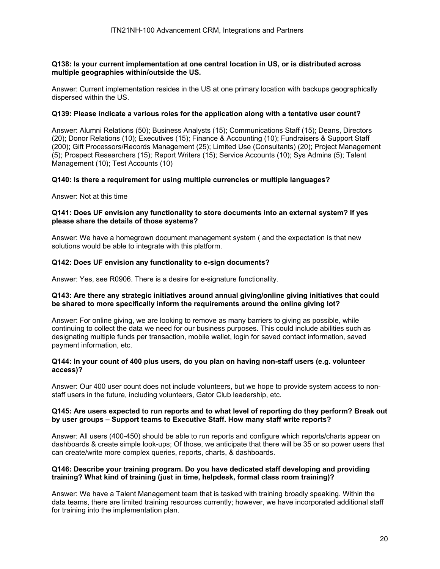#### **Q138: Is your current implementation at one central location in US, or is distributed across multiple geographies within/outside the US.**

Answer: Current implementation resides in the US at one primary location with backups geographically dispersed within the US.

#### **Q139: Please indicate a various roles for the application along with a tentative user count?**

Answer: Alumni Relations (50); Business Analysts (15); Communications Staff (15); Deans, Directors (20); Donor Relations (10); Executives (15); Finance & Accounting (10); Fundraisers & Support Staff (200); Gift Processors/Records Management (25); Limited Use (Consultants) (20); Project Management (5); Prospect Researchers (15); Report Writers (15); Service Accounts (10); Sys Admins (5); Talent Management (10); Test Accounts (10)

#### **Q140: Is there a requirement for using multiple currencies or multiple languages?**

Answer: Not at this time

#### **Q141: Does UF envision any functionality to store documents into an external system? If yes please share the details of those systems?**

Answer: We have a homegrown document management system ( and the expectation is that new solutions would be able to integrate with this platform.

#### **Q142: Does UF envision any functionality to e-sign documents?**

Answer: Yes, see R0906. There is a desire for e-signature functionality.

#### **Q143: Are there any strategic initiatives around annual giving/online giving initiatives that could be shared to more specifically inform the requirements around the online giving lot?**

Answer: For online giving, we are looking to remove as many barriers to giving as possible, while continuing to collect the data we need for our business purposes. This could include abilities such as designating multiple funds per transaction, mobile wallet, login for saved contact information, saved payment information, etc.

#### **Q144: In your count of 400 plus users, do you plan on having non-staff users (e.g. volunteer access)?**

Answer: Our 400 user count does not include volunteers, but we hope to provide system access to nonstaff users in the future, including volunteers, Gator Club leadership, etc.

#### **Q145: Are users expected to run reports and to what level of reporting do they perform? Break out by user groups – Support teams to Executive Staff. How many staff write reports?**

Answer: All users (400-450) should be able to run reports and configure which reports/charts appear on dashboards & create simple look-ups; Of those, we anticipate that there will be 35 or so power users that can create/write more complex queries, reports, charts, & dashboards.

#### **Q146: Describe your training program. Do you have dedicated staff developing and providing training? What kind of training (just in time, helpdesk, formal class room training)?**

Answer: We have a Talent Management team that is tasked with training broadly speaking. Within the data teams, there are limited training resources currently; however, we have incorporated additional staff for training into the implementation plan.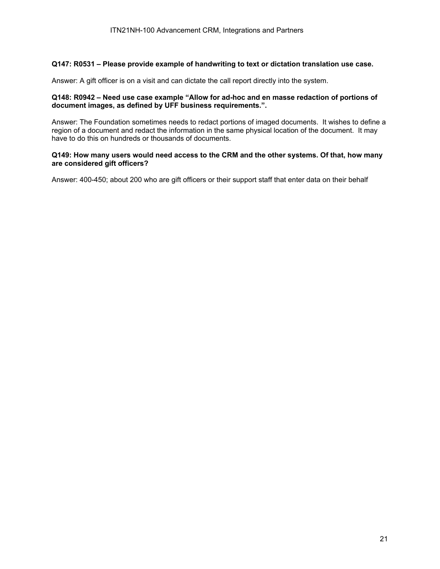## **Q147: R0531 – Please provide example of handwriting to text or dictation translation use case.**

Answer: A gift officer is on a visit and can dictate the call report directly into the system.

## **Q148: R0942 – Need use case example "Allow for ad-hoc and en masse redaction of portions of document images, as defined by UFF business requirements.".**

Answer: The Foundation sometimes needs to redact portions of imaged documents. It wishes to define a region of a document and redact the information in the same physical location of the document. It may have to do this on hundreds or thousands of documents.

## **Q149: How many users would need access to the CRM and the other systems. Of that, how many are considered gift officers?**

Answer: 400-450; about 200 who are gift officers or their support staff that enter data on their behalf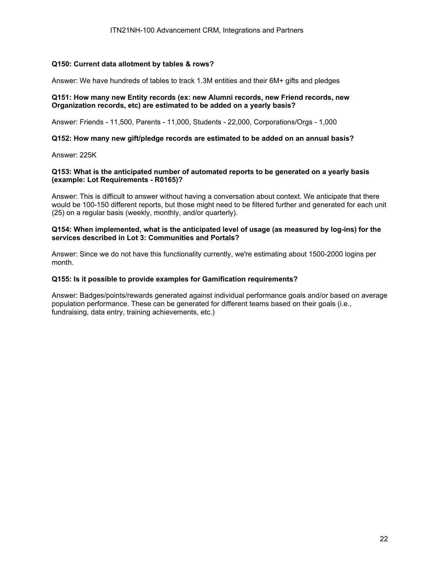## **Q150: Current data allotment by tables & rows?**

Answer: We have hundreds of tables to track 1.3M entities and their 6M+ gifts and pledges

## **Q151: How many new Entity records (ex: new Alumni records, new Friend records, new Organization records, etc) are estimated to be added on a yearly basis?**

Answer: Friends - 11,500, Parents - 11,000, Students - 22,000, Corporations/Orgs - 1,000

#### **Q152: How many new gift/pledge records are estimated to be added on an annual basis?**

Answer: 225K

#### **Q153: What is the anticipated number of automated reports to be generated on a yearly basis (example: Lot Requirements - R0165)?**

Answer: This is difficult to answer without having a conversation about context. We anticipate that there would be 100-150 different reports, but those might need to be filtered further and generated for each unit (25) on a regular basis (weekly, monthly, and/or quarterly).

### **Q154: When implemented, what is the anticipated level of usage (as measured by log-ins) for the services described in Lot 3: Communities and Portals?**

Answer: Since we do not have this functionality currently, we're estimating about 1500-2000 logins per month.

#### **Q155: Is it possible to provide examples for Gamification requirements?**

Answer: Badges/points/rewards generated against individual performance goals and/or based on average population performance. These can be generated for different teams based on their goals (i.e., fundraising, data entry, training achievements, etc.)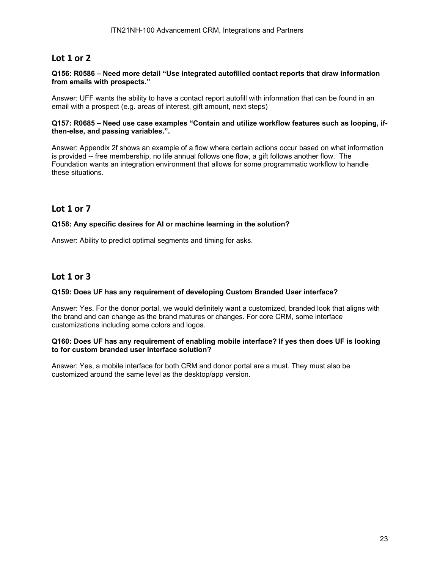# **Lot 1 or 2**

#### **Q156: R0586 – Need more detail "Use integrated autofilled contact reports that draw information from emails with prospects."**

Answer: UFF wants the ability to have a contact report autofill with information that can be found in an email with a prospect (e.g. areas of interest, gift amount, next steps)

#### **Q157: R0685 – Need use case examples "Contain and utilize workflow features such as looping, ifthen-else, and passing variables.".**

Answer: Appendix 2f shows an example of a flow where certain actions occur based on what information is provided -- free membership, no life annual follows one flow, a gift follows another flow. The Foundation wants an integration environment that allows for some programmatic workflow to handle these situations.

## **Lot 1 or 7**

## **Q158: Any specific desires for AI or machine learning in the solution?**

Answer: Ability to predict optimal segments and timing for asks.

## **Lot 1 or 3**

#### **Q159: Does UF has any requirement of developing Custom Branded User interface?**

Answer: Yes. For the donor portal, we would definitely want a customized, branded look that aligns with the brand and can change as the brand matures or changes. For core CRM, some interface customizations including some colors and logos.

#### **Q160: Does UF has any requirement of enabling mobile interface? If yes then does UF is looking to for custom branded user interface solution?**

Answer: Yes, a mobile interface for both CRM and donor portal are a must. They must also be customized around the same level as the desktop/app version.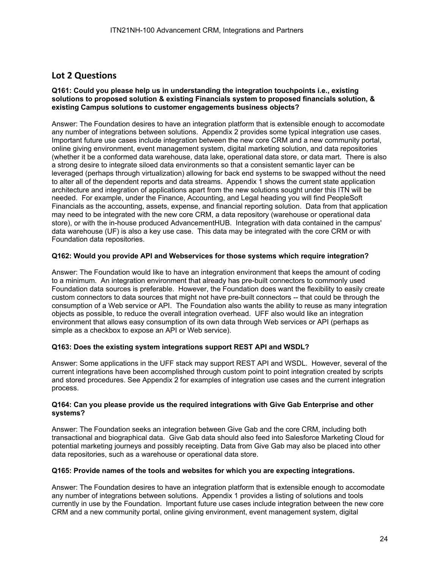# **Lot 2 Questions**

#### **Q161: Could you please help us in understanding the integration touchpoints i.e., existing solutions to proposed solution & existing Financials system to proposed financials solution, & existing Campus solutions to customer engagements business objects?**

Answer: The Foundation desires to have an integration platform that is extensible enough to accomodate any number of integrations between solutions. Appendix 2 provides some typical integration use cases. Important future use cases include integration between the new core CRM and a new community portal, online giving environment, event management system, digital marketing solution, and data repositories (whether it be a conformed data warehouse, data lake, operational data store, or data mart. There is also a strong desire to integrate siloed data environments so that a consistent semantic layer can be leveraged (perhaps through virtualization) allowing for back end systems to be swapped without the need to alter all of the dependent reports and data streams. Appendix 1 shows the current state application architecture and integration of applications apart from the new solutions sought under this ITN will be needed. For example, under the Finance, Accounting, and Legal heading you will find PeopleSoft Financials as the accounting, assets, expense, and financial reporting solution. Data from that application may need to be integrated with the new core CRM, a data repository (warehouse or operational data store), or with the in-house produced AdvancementHUB. Integration with data contained in the campus' data warehouse (UF) is also a key use case. This data may be integrated with the core CRM or with Foundation data repositories.

#### **Q162: Would you provide API and Webservices for those systems which require integration?**

Answer: The Foundation would like to have an integration environment that keeps the amount of coding to a minimum. An integration environment that already has pre-built connectors to commonly used Foundation data sources is preferable. However, the Foundation does want the flexibility to easily create custom connectors to data sources that might not have pre-built connectors -- that could be through the consumption of a Web service or API. The Foundation also wants the ability to reuse as many integration objects as possible, to reduce the overall integration overhead. UFF also would like an integration environment that allows easy consumption of its own data through Web services or API (perhaps as simple as a checkbox to expose an API or Web service).

#### **Q163: Does the existing system integrations support REST API and WSDL?**

Answer: Some applications in the UFF stack may support REST API and WSDL. However, several of the current integrations have been accomplished through custom point to point integration created by scripts and stored procedures. See Appendix 2 for examples of integration use cases and the current integration process.

#### **Q164: Can you please provide us the required integrations with Give Gab Enterprise and other systems?**

Answer: The Foundation seeks an integration between Give Gab and the core CRM, including both transactional and biographical data. Give Gab data should also feed into Salesforce Marketing Cloud for potential marketing journeys and possibly receipting. Data from Give Gab may also be placed into other data repositories, such as a warehouse or operational data store.

#### **Q165: Provide names of the tools and websites for which you are expecting integrations.**

Answer: The Foundation desires to have an integration platform that is extensible enough to accomodate any number of integrations between solutions. Appendix 1 provides a listing of solutions and tools currently in use by the Foundation. Important future use cases include integration between the new core CRM and a new community portal, online giving environment, event management system, digital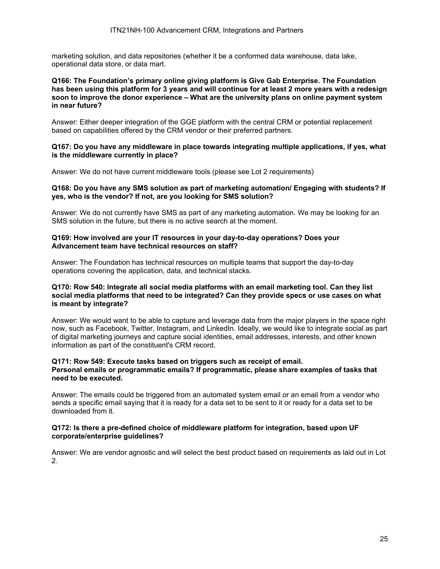marketing solution, and data repositories (whether it be a conformed data warehouse, data lake, operational data store, or data mart.

#### **Q166: The Foundation's primary online giving platform is Give Gab Enterprise. The Foundation has been using this platform for 3 years and will continue for at least 2 more years with a redesign soon to improve the donor experience – What are the university plans on online payment system in near future?**

Answer: Either deeper integration of the GGE platform with the central CRM or potential replacement based on capabilities offered by the CRM vendor or their preferred partners.

#### **Q167: Do you have any middleware in place towards integrating multiple applications, if yes, what is the middleware currently in place?**

Answer: We do not have current middleware tools (please see Lot 2 requirements)

#### **Q168: Do you have any SMS solution as part of marketing automation/ Engaging with students? If yes, who is the vendor? If not, are you looking for SMS solution?**

Answer: We do not currently have SMS as part of any marketing automation. We may be looking for an SMS solution in the future, but there is no active search at the moment.

#### **Q169: How involved are your IT resources in your day-to-day operations? Does your Advancement team have technical resources on staff?**

Answer: The Foundation has technical resources on multiple teams that support the day-to-day operations covering the application, data, and technical stacks.

#### **Q170: Row 540: Integrate all social media platforms with an email marketing tool. Can they list social media platforms that need to be integrated? Can they provide specs or use cases on what is meant by integrate?**

Answer: We would want to be able to capture and leverage data from the major players in the space right now, such as Facebook, Twitter, Instagram, and LinkedIn. Ideally, we would like to integrate social as part of digital marketing journeys and capture social identities, email addresses, interests, and other known information as part of the constituent's CRM record.

#### **Q171: Row 549: Execute tasks based on triggers such as receipt of email. Personal emails or programmatic emails? If programmatic, please share examples of tasks that need to be executed.**

Answer: The emails could be triggered from an automated system email or an email from a vendor who sends a specific email saying that it is ready for a data set to be sent to it or ready for a data set to be downloaded from it.

#### **Q172: Is there a pre-defined choice of middleware platform for integration, based upon UF corporate/enterprise guidelines?**

Answer: We are vendor agnostic and will select the best product based on requirements as laid out in Lot 2.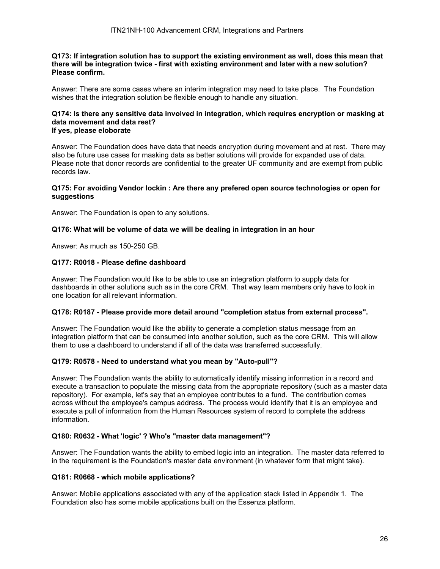**Q173: If integration solution has to support the existing environment as well, does this mean that there will be integration twice - first with existing environment and later with a new solution? Please confirm.** 

Answer: There are some cases where an interim integration may need to take place. The Foundation wishes that the integration solution be flexible enough to handle any situation.

#### **Q174: Is there any sensitive data involved in integration, which requires encryption or masking at data movement and data rest? If yes, please eloborate**

Answer: The Foundation does have data that needs encryption during movement and at rest. There may also be future use cases for masking data as better solutions will provide for expanded use of data. Please note that donor records are confidential to the greater UF community and are exempt from public records law.

#### **Q175: For avoiding Vendor lockin : Are there any prefered open source technologies or open for suggestions**

Answer: The Foundation is open to any solutions.

#### **Q176: What will be volume of data we will be dealing in integration in an hour**

Answer: As much as 150-250 GB.

## **Q177: R0018 - Please define dashboard**

Answer: The Foundation would like to be able to use an integration platform to supply data for dashboards in other solutions such as in the core CRM. That way team members only have to look in one location for all relevant information.

### **Q178: R0187 - Please provide more detail around "completion status from external process".**

Answer: The Foundation would like the ability to generate a completion status message from an integration platform that can be consumed into another solution, such as the core CRM. This will allow them to use a dashboard to understand if all of the data was transferred successfully.

#### **Q179: R0578 - Need to understand what you mean by "Auto-pull"?**

Answer: The Foundation wants the ability to automatically identify missing information in a record and execute a transaction to populate the missing data from the appropriate repository (such as a master data repository). For example, let's say that an employee contributes to a fund. The contribution comes across without the employee's campus address. The process would identify that it is an employee and execute a pull of information from the Human Resources system of record to complete the address information.

## **Q180: R0632 - What 'logic' ? Who's "master data management"?**

Answer: The Foundation wants the ability to embed logic into an integration. The master data referred to in the requirement is the Foundation's master data environment (in whatever form that might take).

#### **Q181: R0668 - which mobile applications?**

Answer: Mobile applications associated with any of the application stack listed in Appendix 1. The Foundation also has some mobile applications built on the Essenza platform.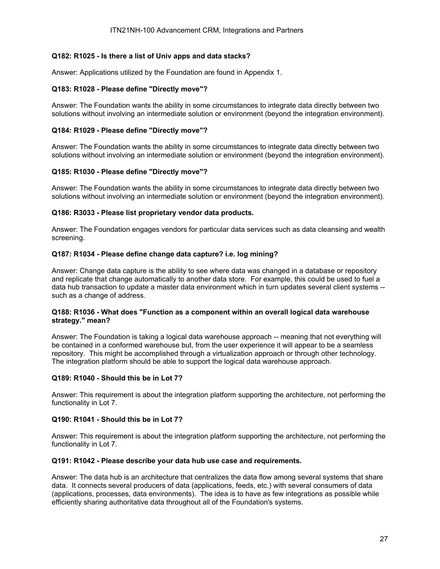## **Q182: R1025 - Is there a list of Univ apps and data stacks?**

Answer: Applications utilized by the Foundation are found in Appendix 1.

#### **Q183: R1028 - Please define "Directly move"?**

Answer: The Foundation wants the ability in some circumstances to integrate data directly between two solutions without involving an intermediate solution or environment (beyond the integration environment).

#### **Q184: R1029 - Please define "Directly move"?**

Answer: The Foundation wants the ability in some circumstances to integrate data directly between two solutions without involving an intermediate solution or environment (beyond the integration environment).

#### **Q185: R1030 - Please define "Directly move"?**

Answer: The Foundation wants the ability in some circumstances to integrate data directly between two solutions without involving an intermediate solution or environment (beyond the integration environment).

### **Q186: R3033 - Please list proprietary vendor data products.**

Answer: The Foundation engages vendors for particular data services such as data cleansing and wealth screening.

#### **Q187: R1034 - Please define change data capture? i.e. log mining?**

Answer: Change data capture is the ability to see where data was changed in a database or repository and replicate that change automatically to another data store. For example, this could be used to fuel a data hub transaction to update a master data environment which in turn updates several client systems - such as a change of address.

### **Q188: R1036 - What does "Function as a component within an overall logical data warehouse strategy." mean?**

Answer: The Foundation is taking a logical data warehouse approach -- meaning that not everything will be contained in a conformed warehouse but, from the user experience it will appear to be a seamless repository. This might be accomplished through a virtualization approach or through other technology. The integration platform should be able to support the logical data warehouse approach.

#### **Q189: R1040 - Should this be in Lot 7?**

Answer: This requirement is about the integration platform supporting the architecture, not performing the functionality in Lot 7.

#### **Q190: R1041 - Should this be in Lot 7?**

Answer: This requirement is about the integration platform supporting the architecture, not performing the functionality in Lot 7.

#### **Q191: R1042 - Please describe your data hub use case and requirements.**

Answer: The data hub is an architecture that centralizes the data flow among several systems that share data. It connects several producers of data (applications, feeds, etc.) with several consumers of data (applications, processes, data environments). The idea is to have as few integrations as possible while efficiently sharing authoritative data throughout all of the Foundation's systems.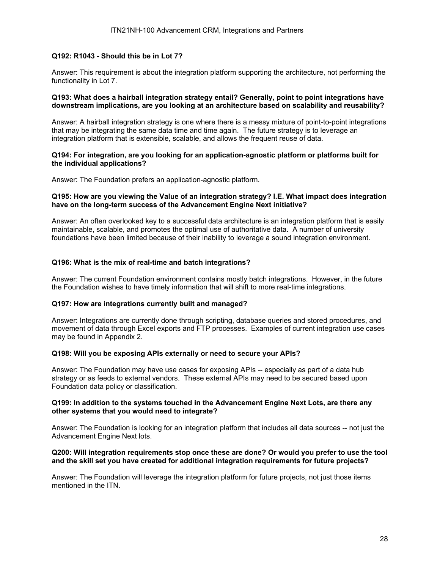## **Q192: R1043 - Should this be in Lot 7?**

Answer: This requirement is about the integration platform supporting the architecture, not performing the functionality in Lot 7.

### **Q193: What does a hairball integration strategy entail? Generally, point to point integrations have downstream implications, are you looking at an architecture based on scalability and reusability?**

Answer: A hairball integration strategy is one where there is a messy mixture of point-to-point integrations that may be integrating the same data time and time again. The future strategy is to leverage an integration platform that is extensible, scalable, and allows the frequent reuse of data.

#### **Q194: For integration, are you looking for an application-agnostic platform or platforms built for the individual applications?**

Answer: The Foundation prefers an application-agnostic platform.

### **Q195: How are you viewing the Value of an integration strategy? I.E. What impact does integration have on the long-term success of the Advancement Engine Next initiative?**

Answer: An often overlooked key to a successful data architecture is an integration platform that is easily maintainable, scalable, and promotes the optimal use of authoritative data. A number of university foundations have been limited because of their inability to leverage a sound integration environment.

## **Q196: What is the mix of real-time and batch integrations?**

Answer: The current Foundation environment contains mostly batch integrations. However, in the future the Foundation wishes to have timely information that will shift to more real-time integrations.

#### **Q197: How are integrations currently built and managed?**

Answer: Integrations are currently done through scripting, database queries and stored procedures, and movement of data through Excel exports and FTP processes. Examples of current integration use cases may be found in Appendix 2.

#### **Q198: Will you be exposing APIs externally or need to secure your APIs?**

Answer: The Foundation may have use cases for exposing APIs -- especially as part of a data hub strategy or as feeds to external vendors. These external APIs may need to be secured based upon Foundation data policy or classification.

## **Q199: In addition to the systems touched in the Advancement Engine Next Lots, are there any other systems that you would need to integrate?**

Answer: The Foundation is looking for an integration platform that includes all data sources -- not just the Advancement Engine Next lots.

#### **Q200: Will integration requirements stop once these are done? Or would you prefer to use the tool and the skill set you have created for additional integration requirements for future projects?**

Answer: The Foundation will leverage the integration platform for future projects, not just those items mentioned in the ITN.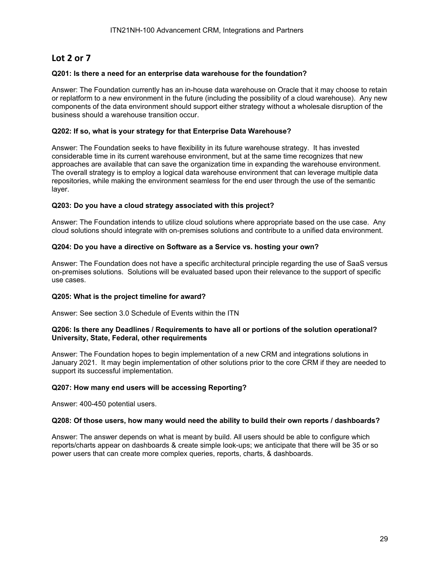# **Lot 2 or 7**

## **Q201: Is there a need for an enterprise data warehouse for the foundation?**

Answer: The Foundation currently has an in-house data warehouse on Oracle that it may choose to retain or replatform to a new environment in the future (including the possibility of a cloud warehouse). Any new components of the data environment should support either strategy without a wholesale disruption of the business should a warehouse transition occur.

### **Q202: If so, what is your strategy for that Enterprise Data Warehouse?**

Answer: The Foundation seeks to have flexibility in its future warehouse strategy. It has invested considerable time in its current warehouse environment, but at the same time recognizes that new approaches are available that can save the organization time in expanding the warehouse environment. The overall strategy is to employ a logical data warehouse environment that can leverage multiple data repositories, while making the environment seamless for the end user through the use of the semantic layer.

## **Q203: Do you have a cloud strategy associated with this project?**

Answer: The Foundation intends to utilize cloud solutions where appropriate based on the use case. Any cloud solutions should integrate with on-premises solutions and contribute to a unified data environment.

## **Q204: Do you have a directive on Software as a Service vs. hosting your own?**

Answer: The Foundation does not have a specific architectural principle regarding the use of SaaS versus on-premises solutions. Solutions will be evaluated based upon their relevance to the support of specific use cases.

#### **Q205: What is the project timeline for award?**

Answer: See section 3.0 Schedule of Events within the ITN

#### **Q206: Is there any Deadlines / Requirements to have all or portions of the solution operational? University, State, Federal, other requirements**

Answer: The Foundation hopes to begin implementation of a new CRM and integrations solutions in January 2021. It may begin implementation of other solutions prior to the core CRM if they are needed to support its successful implementation.

## **Q207: How many end users will be accessing Reporting?**

Answer: 400-450 potential users.

#### **Q208: Of those users, how many would need the ability to build their own reports / dashboards?**

Answer: The answer depends on what is meant by build. All users should be able to configure which reports/charts appear on dashboards & create simple look-ups; we anticipate that there will be 35 or so power users that can create more complex queries, reports, charts, & dashboards.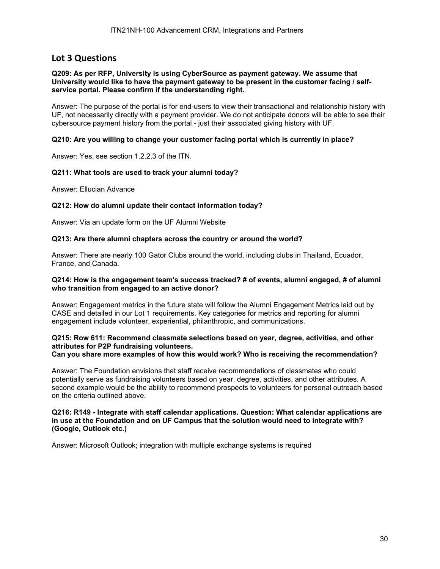## **Lot 3 Questions**

#### **Q209: As per RFP, University is using CyberSource as payment gateway. We assume that University would like to have the payment gateway to be present in the customer facing / selfservice portal. Please confirm if the understanding right.**

Answer: The purpose of the portal is for end-users to view their transactional and relationship history with UF, not necessarily directly with a payment provider. We do not anticipate donors will be able to see their cybersource payment history from the portal - just their associated giving history with UF.

### **Q210: Are you willing to change your customer facing portal which is currently in place?**

Answer: Yes, see section 1.2.2.3 of the ITN.

## **Q211: What tools are used to track your alumni today?**

Answer: Ellucian Advance

## **Q212: How do alumni update their contact information today?**

Answer: Via an update form on the UF Alumni Website

#### **Q213: Are there alumni chapters across the country or around the world?**

Answer: There are nearly 100 Gator Clubs around the world, including clubs in Thailand, Ecuador, France, and Canada.

#### **Q214: How is the engagement team's success tracked? # of events, alumni engaged, # of alumni who transition from engaged to an active donor?**

Answer: Engagement metrics in the future state will follow the Alumni Engagement Metrics laid out by CASE and detailed in our Lot 1 requirements. Key categories for metrics and reporting for alumni engagement include volunteer, experiential, philanthropic, and communications.

## **Q215: Row 611: Recommend classmate selections based on year, degree, activities, and other attributes for P2P fundraising volunteers.**

**Can you share more examples of how this would work? Who is receiving the recommendation?** 

Answer: The Foundation envisions that staff receive recommendations of classmates who could potentially serve as fundraising volunteers based on year, degree, activities, and other attributes. A second example would be the ability to recommend prospects to volunteers for personal outreach based on the criteria outlined above.

#### **Q216: R149 - Integrate with staff calendar applications. Question: What calendar applications are in use at the Foundation and on UF Campus that the solution would need to integrate with? (Google, Outlook etc.)**

Answer: Microsoft Outlook; integration with multiple exchange systems is required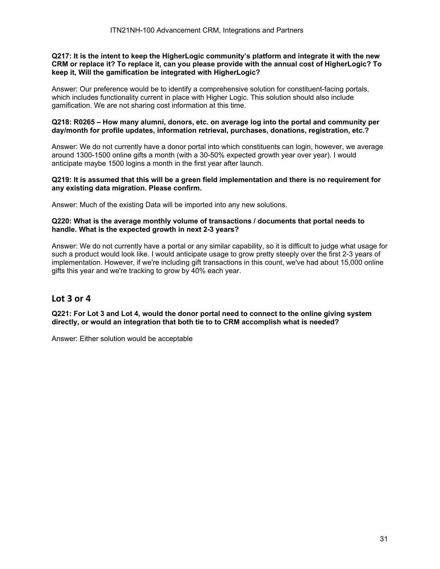#### **Q217: It is the intent to keep the HigherLogic community's platform and integrate it with the new CRM or replace it? To replace it, can you please provide with the annual cost of HigherLogic? To keep it, Will the gamification be integrated with HigherLogic?**

Answer: Our preference would be to identify a comprehensive solution for constituent-facing portals, which includes functionality current in place with Higher Logic. This solution should also include gamification. We are not sharing cost information at this time.

### **Q218: R0265 – How many alumni, donors, etc. on average log into the portal and community per day/month for profile updates, information retrieval, purchases, donations, registration, etc.?**

Answer: We do not currently have a donor portal into which constituents can login, however, we average around 1300-1500 online gifts a month (with a 30-50% expected growth year over year). I would anticipate maybe 1500 logins a month in the first year after launch.

## **Q219: It is assumed that this will be a green field implementation and there is no requirement for any existing data migration. Please confirm.**

Answer: Much of the existing Data will be imported into any new solutions.

## **Q220: What is the average monthly volume of transactions / documents that portal needs to handle. What is the expected growth in next 2-3 years?**

Answer: We do not currently have a portal or any similar capability, so it is difficult to judge what usage for such a product would look like. I would anticipate usage to grow pretty steeply over the first 2-3 years of implementation. However, if we're including gift transactions in this count, we've had about 15,000 online gifts this year and we're tracking to grow by 40% each year.

## **Lot 3 or 4**

**Q221: For Lot 3 and Lot 4, would the donor portal need to connect to the online giving system directly, or would an integration that both tie to to CRM accomplish what is needed?** 

Answer: Either solution would be acceptable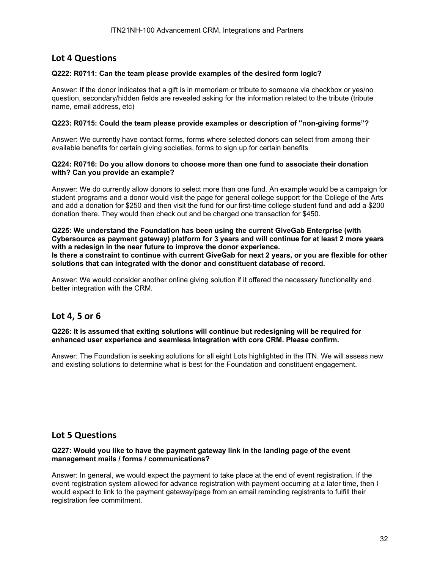# **Lot 4 Questions**

## **Q222: R0711: Can the team please provide examples of the desired form logic?**

Answer: If the donor indicates that a gift is in memoriam or tribute to someone via checkbox or yes/no question, secondary/hidden fields are revealed asking for the information related to the tribute (tribute name, email address, etc)

### **Q223: R0715: Could the team please provide examples or description of "non-giving forms"?**

Answer: We currently have contact forms, forms where selected donors can select from among their available benefits for certain giving societies, forms to sign up for certain benefits

#### **Q224: R0716: Do you allow donors to choose more than one fund to associate their donation with? Can you provide an example?**

Answer: We do currently allow donors to select more than one fund. An example would be a campaign for student programs and a donor would visit the page for general college support for the College of the Arts and add a donation for \$250 and then visit the fund for our first-time college student fund and add a \$200 donation there. They would then check out and be charged one transaction for \$450.

## **Q225: We understand the Foundation has been using the current GiveGab Enterprise (with Cybersource as payment gateway) platform for 3 years and will continue for at least 2 more years with a redesign in the near future to improve the donor experience.**

**Is there a constraint to continue with current GiveGab for next 2 years, or you are flexible for other solutions that can integrated with the donor and constituent database of record.** 

Answer: We would consider another online giving solution if it offered the necessary functionality and better integration with the CRM.

## **Lot 4, 5 or 6**

**Q226: It is assumed that exiting solutions will continue but redesigning will be required for enhanced user experience and seamless integration with core CRM. Please confirm.** 

Answer: The Foundation is seeking solutions for all eight Lots highlighted in the ITN. We will assess new and existing solutions to determine what is best for the Foundation and constituent engagement.

## **Lot 5 Questions**

#### **Q227: Would you like to have the payment gateway link in the landing page of the event management mails / forms / communications?**

Answer: In general, we would expect the payment to take place at the end of event registration. If the event registration system allowed for advance registration with payment occurring at a later time, then I would expect to link to the payment gateway/page from an email reminding registrants to fulfill their registration fee commitment.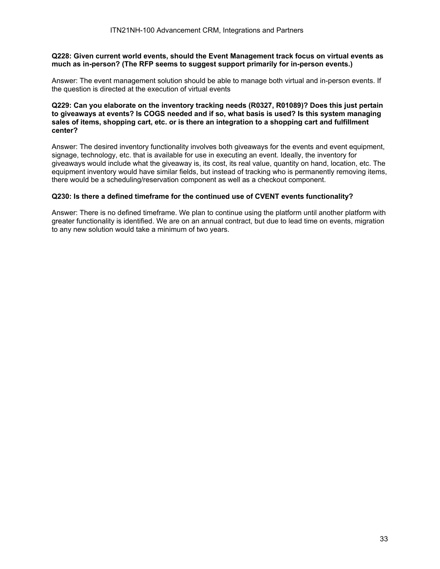#### **Q228: Given current world events, should the Event Management track focus on virtual events as much as in-person? (The RFP seems to suggest support primarily for in-person events.)**

Answer: The event management solution should be able to manage both virtual and in-person events. If the question is directed at the execution of virtual events

#### **Q229: Can you elaborate on the inventory tracking needs (R0327, R01089)? Does this just pertain to giveaways at events? Is COGS needed and if so, what basis is used? Is this system managing sales of items, shopping cart, etc. or is there an integration to a shopping cart and fulfillment center?**

Answer: The desired inventory functionality involves both giveaways for the events and event equipment, signage, technology, etc. that is available for use in executing an event. Ideally, the inventory for giveaways would include what the giveaway is, its cost, its real value, quantity on hand, location, etc. The equipment inventory would have similar fields, but instead of tracking who is permanently removing items, there would be a scheduling/reservation component as well as a checkout component.

## **Q230: Is there a defined timeframe for the continued use of CVENT events functionality?**

Answer: There is no defined timeframe. We plan to continue using the platform until another platform with greater functionality is identified. We are on an annual contract, but due to lead time on events, migration to any new solution would take a minimum of two years.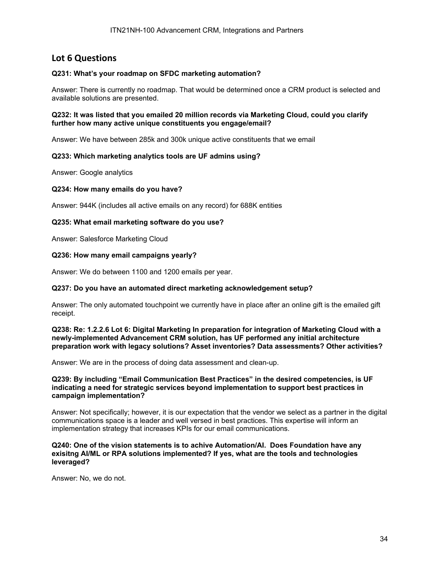# **Lot 6 Questions**

## **Q231: What's your roadmap on SFDC marketing automation?**

Answer: There is currently no roadmap. That would be determined once a CRM product is selected and available solutions are presented.

#### **Q232: It was listed that you emailed 20 million records via Marketing Cloud, could you clarify further how many active unique constituents you engage/email?**

Answer: We have between 285k and 300k unique active constituents that we email

#### **Q233: Which marketing analytics tools are UF admins using?**

Answer: Google analytics

#### **Q234: How many emails do you have?**

Answer: 944K (includes all active emails on any record) for 688K entities

#### **Q235: What email marketing software do you use?**

Answer: Salesforce Marketing Cloud

#### **Q236: How many email campaigns yearly?**

Answer: We do between 1100 and 1200 emails per year.

#### **Q237: Do you have an automated direct marketing acknowledgement setup?**

Answer: The only automated touchpoint we currently have in place after an online gift is the emailed gift receipt.

#### **Q238: Re: 1.2.2.6 Lot 6: Digital Marketing In preparation for integration of Marketing Cloud with a newly-implemented Advancement CRM solution, has UF performed any initial architecture preparation work with legacy solutions? Asset inventories? Data assessments? Other activities?**

Answer: We are in the process of doing data assessment and clean-up.

#### **Q239: By including "Email Communication Best Practices" in the desired competencies, is UF indicating a need for strategic services beyond implementation to support best practices in campaign implementation?**

Answer: Not specifically; however, it is our expectation that the vendor we select as a partner in the digital communications space is a leader and well versed in best practices. This expertise will inform an implementation strategy that increases KPIs for our email communications.

#### **Q240: One of the vision statements is to achive Automation/AI. Does Foundation have any exisitng AI/ML or RPA solutions implemented? If yes, what are the tools and technologies leveraged?**

Answer: No, we do not.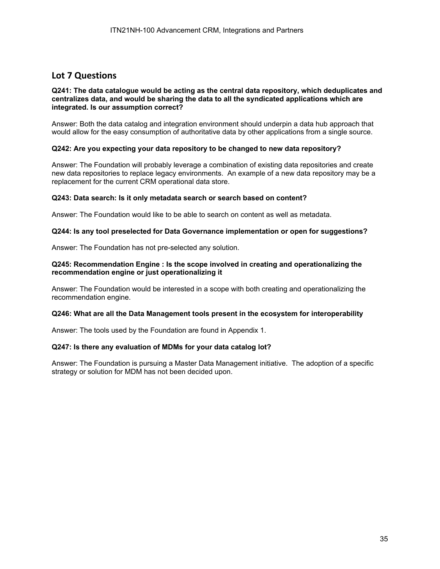# **Lot 7 Questions**

### **Q241: The data catalogue would be acting as the central data repository, which deduplicates and centralizes data, and would be sharing the data to all the syndicated applications which are integrated. Is our assumption correct?**

Answer: Both the data catalog and integration environment should underpin a data hub approach that would allow for the easy consumption of authoritative data by other applications from a single source.

## **Q242: Are you expecting your data repository to be changed to new data repository?**

Answer: The Foundation will probably leverage a combination of existing data repositories and create new data repositories to replace legacy environments. An example of a new data repository may be a replacement for the current CRM operational data store.

#### **Q243: Data search: Is it only metadata search or search based on content?**

Answer: The Foundation would like to be able to search on content as well as metadata.

#### **Q244: Is any tool preselected for Data Governance implementation or open for suggestions?**

Answer: The Foundation has not pre-selected any solution.

#### **Q245: Recommendation Engine : Is the scope involved in creating and operationalizing the recommendation engine or just operationalizing it**

Answer: The Foundation would be interested in a scope with both creating and operationalizing the recommendation engine.

#### **Q246: What are all the Data Management tools present in the ecosystem for interoperability**

Answer: The tools used by the Foundation are found in Appendix 1.

#### **Q247: Is there any evaluation of MDMs for your data catalog lot?**

Answer: The Foundation is pursuing a Master Data Management initiative. The adoption of a specific strategy or solution for MDM has not been decided upon.